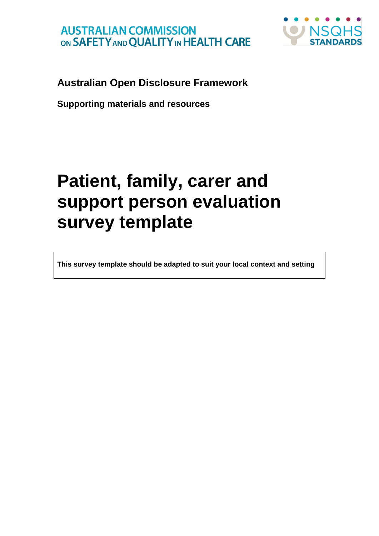

## **Australian Open Disclosure Framework**

**Supporting materials and resources**

# **Patient, family, carer and support person evaluation survey template**

**This survey template should be adapted to suit your local context and setting**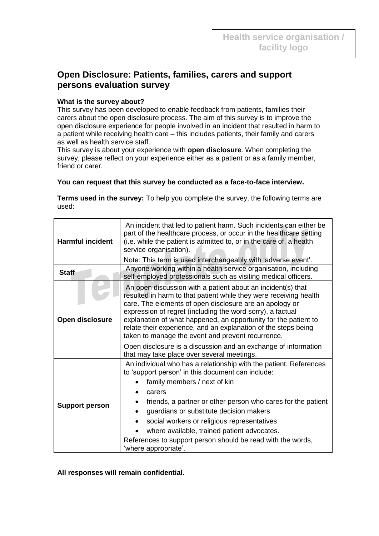### **Open Disclosure: Patients, families, carers and support persons evaluation survey**

#### **What is the survey about?**

This survey has been developed to enable feedback from patients, families their carers about the open disclosure process. The aim of this survey is to improve the open disclosure experience for people involved in an incident that resulted in harm to a patient while receiving health care – this includes patients, their family and carers as well as health service staff.

This survey is about your experience with **open disclosure**. When completing the survey, please reflect on your experience either as a patient or as a family member, friend or carer.

#### **You can request that this survey be conducted as a face-to-face interview.**

**Terms used in the survey:** To help you complete the survey, the following terms are used:

| <b>Harmful incident</b> | An incident that led to patient harm. Such incidents can either be<br>part of the healthcare process, or occur in the healthcare setting<br>(i.e. while the patient is admitted to, or in the care of, a health<br>service organisation).<br>Note: This term is used interchangeably with 'adverse event'.                                                                                                                                                                    |  |  |  |  |  |
|-------------------------|-------------------------------------------------------------------------------------------------------------------------------------------------------------------------------------------------------------------------------------------------------------------------------------------------------------------------------------------------------------------------------------------------------------------------------------------------------------------------------|--|--|--|--|--|
| <b>Staff</b>            | Anyone working within a health service organisation, including<br>self-employed professionals such as visiting medical officers.                                                                                                                                                                                                                                                                                                                                              |  |  |  |  |  |
| Open disclosure         | An open discussion with a patient about an incident(s) that<br>resulted in harm to that patient while they were receiving health<br>care. The elements of open disclosure are an apology or<br>expression of regret (including the word sorry), a factual<br>explanation of what happened, an opportunity for the patient to<br>relate their experience, and an explanation of the steps being<br>taken to manage the event and prevent recurrence.                           |  |  |  |  |  |
|                         | Open disclosure is a discussion and an exchange of information<br>that may take place over several meetings.                                                                                                                                                                                                                                                                                                                                                                  |  |  |  |  |  |
| <b>Support person</b>   | An individual who has a relationship with the patient. References<br>to 'support person' in this document can include:<br>family members / next of kin<br>carers<br>friends, a partner or other person who cares for the patient<br>guardians or substitute decision makers<br>$\bullet$<br>social workers or religious representatives<br>where available, trained patient advocates.<br>References to support person should be read with the words,<br>'where appropriate'. |  |  |  |  |  |

**All responses will remain confidential.**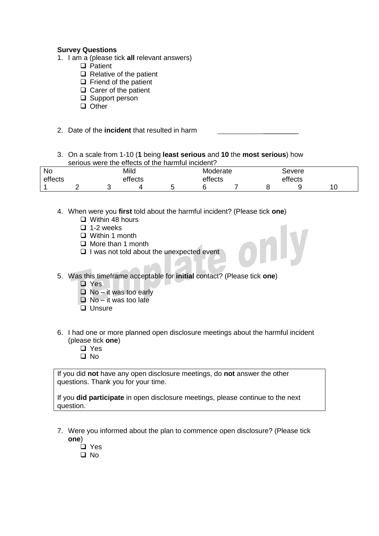#### **Survey Questions**

- 1. I am a (please tick **all** relevant answers)
	- **D** Patient
	- $\Box$  Relative of the patient
	- $\Box$  Friend of the patient
	- $\Box$  Carer of the patient
	- □ Support person
	- **Q** Other
- 2. Date of the **incident** that resulted in harm
- 3. On a scale from 1-10 (**1** being **least serious** and **10** the **most serious**) how serious were the effects of the harmful incident?

| <b>No</b> | Mild    |  |  | Moderate |  |         | ಎevere |   |  |  |
|-----------|---------|--|--|----------|--|---------|--------|---|--|--|
| effects   | effects |  |  | effects  |  | effects |        |   |  |  |
|           |         |  |  |          |  |         |        | U |  |  |

- 4. When were you **first** told about the harmful incident? (Please tick **one**)
	- $\Box$  Within 48 hours
	- $\Box$  1-2 weeks
	- Within 1 month
	- $\Box$  More than 1 month
	- $\Box$  I was not told about the unexpected event
- 5. Was this timeframe acceptable for **initial** contact? (Please tick **one**)
	- □ Yes
	- $\Box$  No it was too early
	- $\Box$  No it was too late
	- **Unsure**
- 6. I had one or more planned open disclosure meetings about the harmful incident (please tick **one**)
	- □ Yes
	- $\Box$  No

If you did **not** have any open disclosure meetings, do **not** answer the other questions. Thank you for your time.

If you **did participate** in open disclosure meetings, please continue to the next question.

- 7. Were you informed about the plan to commence open disclosure? (Please tick **one**)
	- □ Yes
	- No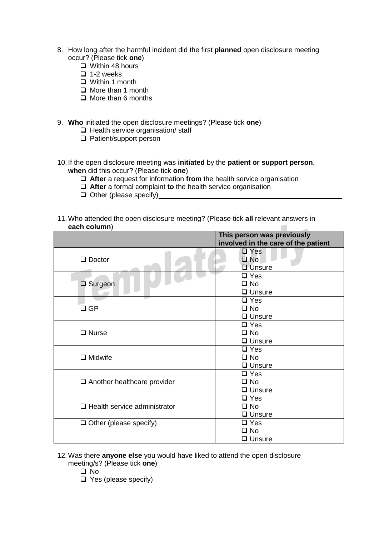- 8. How long after the harmful incident did the first **planned** open disclosure meeting occur? (Please tick **one**)
	- $\Box$  Within 48 hours
	- $\Box$  1-2 weeks
	- Within 1 month
	- **O** More than 1 month
	- $\Box$  More than 6 months
- 9. **Who** initiated the open disclosure meetings? (Please tick **one**)
	- $\Box$  Health service organisation/ staff
	- □ Patient/support person
- 10. If the open disclosure meeting was **initiated** by the **patient or support person**, **when** did this occur? (Please tick **one**)
	- **After** a request for information **from** the health service organisation
	- **After** a formal complaint **to** the health service organisation
	- $\Box$  Other (please specify)
- 11.Who attended the open disclosure meeting? (Please tick **all** relevant answers in **each column**)  $\sim$

|                                     | This person was previously          |  |  |  |  |
|-------------------------------------|-------------------------------------|--|--|--|--|
|                                     | involved in the care of the patient |  |  |  |  |
|                                     | $\square$ Yes                       |  |  |  |  |
| $\Box$ Doctor                       | $\square$ No                        |  |  |  |  |
|                                     | <b>U</b> nsure                      |  |  |  |  |
|                                     | $\square$ Yes                       |  |  |  |  |
| $\Box$ Surgeon                      | $\square$ No                        |  |  |  |  |
|                                     | $\Box$ Unsure                       |  |  |  |  |
|                                     | $\Box$ Yes                          |  |  |  |  |
| $\square$ GP                        | $\square$ No                        |  |  |  |  |
|                                     | $\Box$ Unsure                       |  |  |  |  |
|                                     | $\Box$ Yes                          |  |  |  |  |
| $\Box$ Nurse                        | $\square$ No                        |  |  |  |  |
|                                     | $\Box$ Unsure                       |  |  |  |  |
|                                     | $\Box$ Yes                          |  |  |  |  |
| $\Box$ Midwife                      | $\square$ No                        |  |  |  |  |
|                                     | $\Box$ Unsure                       |  |  |  |  |
|                                     | $\Box$ Yes                          |  |  |  |  |
| $\Box$ Another healthcare provider  | $\square$ No                        |  |  |  |  |
|                                     | $\Box$ Unsure                       |  |  |  |  |
|                                     | $\Box$ Yes                          |  |  |  |  |
| $\Box$ Health service administrator | $\square$ No                        |  |  |  |  |
|                                     | $\Box$ Unsure                       |  |  |  |  |
| $\Box$ Other (please specify)       | $\Box$ Yes                          |  |  |  |  |
|                                     | $\square$ No                        |  |  |  |  |
|                                     | $\Box$ Unsure                       |  |  |  |  |

#### 12.Was there **anyone else** you would have liked to attend the open disclosure meeting/s? (Please tick **one**)

- $\Box$  No
- $\Box$  Yes (please specify)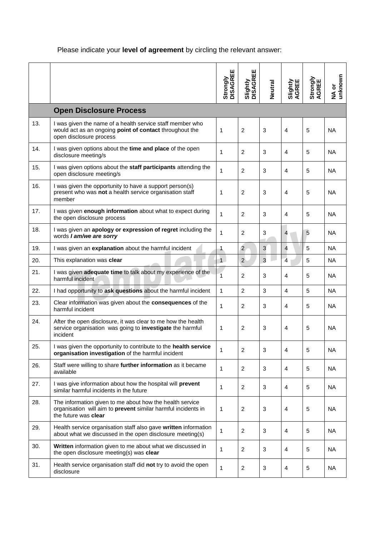## Please indicate your **level of agreement** by circling the relevant answer:

|     |                                                                                                                                                   | Strongly<br>DISAGREE | Slightly<br>DISAGREE | <b>Neutral</b> | Slightly<br>AGREE | Strongly<br>AGREE | unknown<br>NA or |
|-----|---------------------------------------------------------------------------------------------------------------------------------------------------|----------------------|----------------------|----------------|-------------------|-------------------|------------------|
|     | <b>Open Disclosure Process</b>                                                                                                                    |                      |                      |                |                   |                   |                  |
| 13. | I was given the name of a health service staff member who<br>would act as an ongoing point of contact throughout the<br>open disclosure process   | $\mathbf{1}$         | $\overline{2}$       | 3              | $\overline{4}$    | 5                 | <b>NA</b>        |
| 14. | I was given options about the time and place of the open<br>disclosure meeting/s                                                                  | $\mathbf{1}$         | $\overline{c}$       | 3              | $\overline{4}$    | 5                 | <b>NA</b>        |
| 15. | I was given options about the staff participants attending the<br>open disclosure meeting/s                                                       | $\mathbf{1}$         | $\overline{c}$       | 3              | 4                 | 5                 | <b>NA</b>        |
| 16. | I was given the opportunity to have a support person(s)<br>present who was not a health service organisation staff<br>member                      | 1                    | $\overline{2}$       | 3              | 4                 | 5                 | <b>NA</b>        |
| 17. | I was given enough information about what to expect during<br>the open disclosure process                                                         | $\mathbf{1}$         | $\overline{2}$       | 3              | $\overline{4}$    | 5                 | <b>NA</b>        |
| 18. | I was given an apology or expression of regret including the<br>words I am/we are sorry                                                           | $\mathbf{1}$         | $\overline{2}$       | 3              | $\overline{4}$    | 5                 | <b>NA</b>        |
| 19. | I was given an explanation about the harmful incident                                                                                             | $\mathbf{1}$         | $\overline{2}$       | 3              | $\overline{4}$    | 5                 | <b>NA</b>        |
| 20. | This explanation was clear                                                                                                                        | $\overline{1}$       | $\overline{2}$       | $\overline{3}$ | $\overline{4}$    | 5                 | <b>NA</b>        |
| 21. | I was given adequate time to talk about my experience of the<br>harmful incident                                                                  | 1                    | $\overline{2}$       | 3              | $\overline{4}$    | 5                 | <b>NA</b>        |
| 22. | I had opportunity to ask questions about the harmful incident                                                                                     | $\mathbf{1}$         | $\overline{2}$       | 3              | $\overline{4}$    | 5                 | <b>NA</b>        |
| 23. | Clear information was given about the consequences of the<br>harmful incident                                                                     | $\mathbf{1}$         | $\overline{2}$       | 3              | 4                 | 5                 | <b>NA</b>        |
| 24. | After the open disclosure, it was clear to me how the health<br>service organisation was going to investigate the harmful<br>incident             | $\mathbf{1}$         | $\overline{c}$       | 3              | 4                 | 5                 | <b>NA</b>        |
| 25. | I was given the opportunity to contribute to the health service<br>organisation investigation of the harmful incident                             | $\mathbf{1}$         | $\overline{2}$       | 3              | $\overline{4}$    | 5                 | <b>NA</b>        |
| 26. | Staff were willing to share further information as it became<br>available                                                                         | 1                    | $\overline{2}$       | 3              | 4                 | 5                 | <b>NA</b>        |
| 27. | I was give information about how the hospital will prevent<br>similar harmful incidents in the future                                             | 1                    | 2                    | 3              | 4                 | 5                 | <b>NA</b>        |
| 28. | The information given to me about how the health service<br>organisation will aim to prevent similar harmful incidents in<br>the future was clear | 1                    | $\overline{2}$       | 3              | $\overline{4}$    | 5                 | <b>NA</b>        |
| 29. | Health service organisation staff also gave written information<br>about what we discussed in the open disclosure meeting(s)                      | $\mathbf{1}$         | $\overline{2}$       | 3              | 4                 | 5                 | <b>NA</b>        |
| 30. | Written information given to me about what we discussed in<br>the open disclosure meeting(s) was clear                                            | $\mathbf{1}$         | $\overline{c}$       | 3              | 4                 | 5                 | <b>NA</b>        |
| 31. | Health service organisation staff did not try to avoid the open<br>disclosure                                                                     | $\mathbf{1}$         | $\overline{a}$       | 3              | $\overline{4}$    | 5                 | <b>NA</b>        |